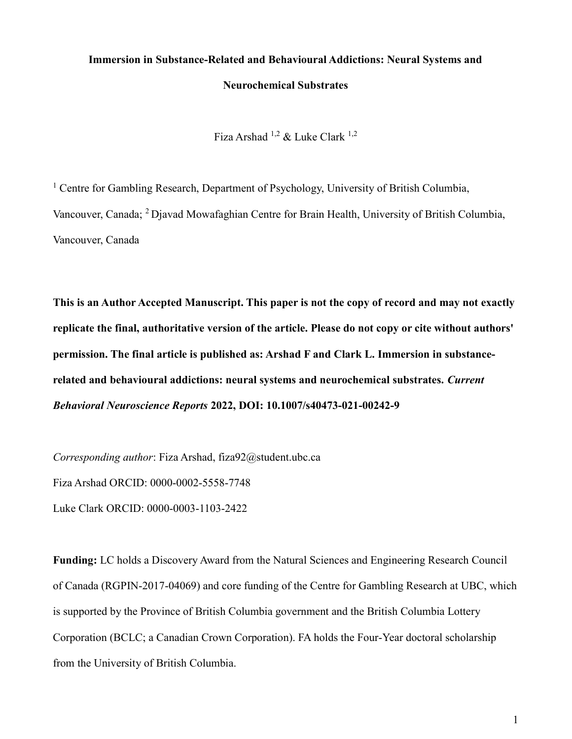# Immersion in Substance-Related and Behavioural Addictions: Neural Systems and Neurochemical Substrates

Fiza Arshad 1,2 & Luke Clark 1,2

<sup>1</sup> Centre for Gambling Research, Department of Psychology, University of British Columbia, Vancouver, Canada; <sup>2</sup>Djavad Mowafaghian Centre for Brain Health, University of British Columbia, Vancouver, Canada

This is an Author Accepted Manuscript. This paper is not the copy of record and may not exactly replicate the final, authoritative version of the article. Please do not copy or cite without authors' permission. The final article is published as: Arshad F and Clark L. Immersion in substancerelated and behavioural addictions: neural systems and neurochemical substrates. Current Behavioral Neuroscience Reports 2022, DOI: 10.1007/s40473-021-00242-9

Corresponding author: Fiza Arshad, fiza92@student.ubc.ca Fiza Arshad ORCID: 0000-0002-5558-7748 Luke Clark ORCID: 0000-0003-1103-2422

Funding: LC holds a Discovery Award from the Natural Sciences and Engineering Research Council of Canada (RGPIN‐2017‐04069) and core funding of the Centre for Gambling Research at UBC, which is supported by the Province of British Columbia government and the British Columbia Lottery Corporation (BCLC; a Canadian Crown Corporation). FA holds the Four-Year doctoral scholarship from the University of British Columbia.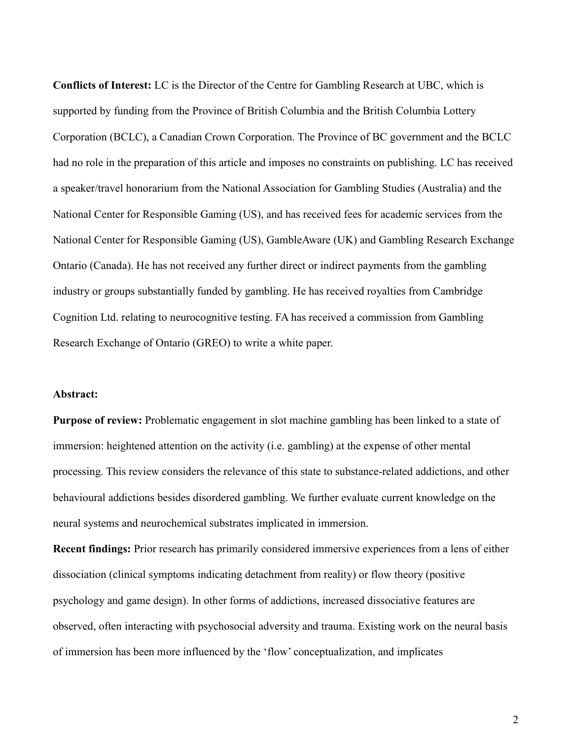Conflicts of Interest: LC is the Director of the Centre for Gambling Research at UBC, which is supported by funding from the Province of British Columbia and the British Columbia Lottery Corporation (BCLC), a Canadian Crown Corporation. The Province of BC government and the BCLC had no role in the preparation of this article and imposes no constraints on publishing. LC has received a speaker/travel honorarium from the National Association for Gambling Studies (Australia) and the National Center for Responsible Gaming (US), and has received fees for academic services from the National Center for Responsible Gaming (US), GambleAware (UK) and Gambling Research Exchange Ontario (Canada). He has not received any further direct or indirect payments from the gambling industry or groups substantially funded by gambling. He has received royalties from Cambridge Cognition Ltd. relating to neurocognitive testing. FA has received a commission from Gambling Research Exchange of Ontario (GREO) to write a white paper.

#### Abstract:

Purpose of review: Problematic engagement in slot machine gambling has been linked to a state of immersion: heightened attention on the activity (i.e. gambling) at the expense of other mental processing. This review considers the relevance of this state to substance-related addictions, and other behavioural addictions besides disordered gambling. We further evaluate current knowledge on the neural systems and neurochemical substrates implicated in immersion.

Recent findings: Prior research has primarily considered immersive experiences from a lens of either dissociation (clinical symptoms indicating detachment from reality) or flow theory (positive psychology and game design). In other forms of addictions, increased dissociative features are observed, often interacting with psychosocial adversity and trauma. Existing work on the neural basis of immersion has been more influenced by the 'flow' conceptualization, and implicates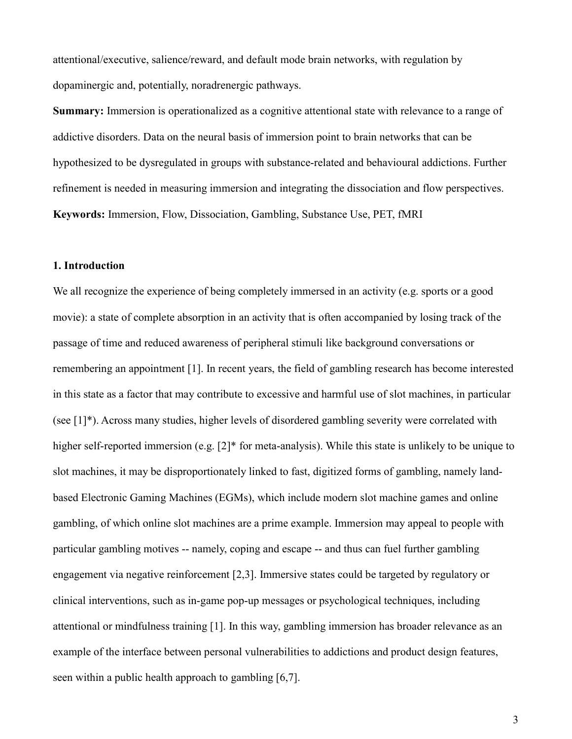attentional/executive, salience/reward, and default mode brain networks, with regulation by dopaminergic and, potentially, noradrenergic pathways.

Summary: Immersion is operationalized as a cognitive attentional state with relevance to a range of addictive disorders. Data on the neural basis of immersion point to brain networks that can be hypothesized to be dysregulated in groups with substance-related and behavioural addictions. Further refinement is needed in measuring immersion and integrating the dissociation and flow perspectives. Keywords: Immersion, Flow, Dissociation, Gambling, Substance Use, PET, fMRI

# 1. Introduction

We all recognize the experience of being completely immersed in an activity (e.g. sports or a good movie): a state of complete absorption in an activity that is often accompanied by losing track of the passage of time and reduced awareness of peripheral stimuli like background conversations or remembering an appointment [1]. In recent years, the field of gambling research has become interested in this state as a factor that may contribute to excessive and harmful use of slot machines, in particular (see [1]\*). Across many studies, higher levels of disordered gambling severity were correlated with higher self-reported immersion (e.g. [2]\* for meta-analysis). While this state is unlikely to be unique to slot machines, it may be disproportionately linked to fast, digitized forms of gambling, namely landbased Electronic Gaming Machines (EGMs), which include modern slot machine games and online gambling, of which online slot machines are a prime example. Immersion may appeal to people with particular gambling motives -- namely, coping and escape -- and thus can fuel further gambling engagement via negative reinforcement [2,3]. Immersive states could be targeted by regulatory or clinical interventions, such as in-game pop-up messages or psychological techniques, including attentional or mindfulness training [1]. In this way, gambling immersion has broader relevance as an example of the interface between personal vulnerabilities to addictions and product design features, seen within a public health approach to gambling [6,7].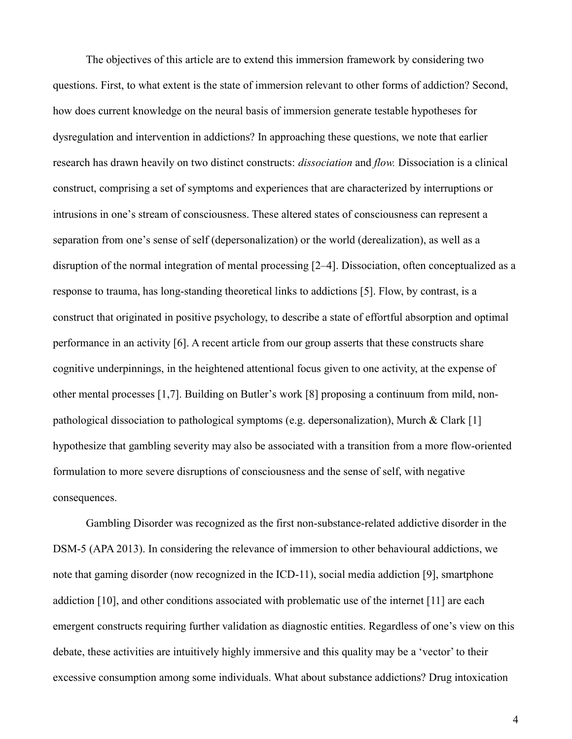The objectives of this article are to extend this immersion framework by considering two questions. First, to what extent is the state of immersion relevant to other forms of addiction? Second, how does current knowledge on the neural basis of immersion generate testable hypotheses for dysregulation and intervention in addictions? In approaching these questions, we note that earlier research has drawn heavily on two distinct constructs: dissociation and flow. Dissociation is a clinical construct, comprising a set of symptoms and experiences that are characterized by interruptions or intrusions in one's stream of consciousness. These altered states of consciousness can represent a separation from one's sense of self (depersonalization) or the world (derealization), as well as a disruption of the normal integration of mental processing [2–4]. Dissociation, often conceptualized as a response to trauma, has long-standing theoretical links to addictions [5]. Flow, by contrast, is a construct that originated in positive psychology, to describe a state of effortful absorption and optimal performance in an activity [6]. A recent article from our group asserts that these constructs share cognitive underpinnings, in the heightened attentional focus given to one activity, at the expense of other mental processes [1,7]. Building on Butler's work [8] proposing a continuum from mild, nonpathological dissociation to pathological symptoms (e.g. depersonalization), Murch & Clark [1] hypothesize that gambling severity may also be associated with a transition from a more flow-oriented formulation to more severe disruptions of consciousness and the sense of self, with negative consequences.

Gambling Disorder was recognized as the first non-substance-related addictive disorder in the DSM-5 (APA 2013). In considering the relevance of immersion to other behavioural addictions, we note that gaming disorder (now recognized in the ICD-11), social media addiction [9], smartphone addiction [10], and other conditions associated with problematic use of the internet [11] are each emergent constructs requiring further validation as diagnostic entities. Regardless of one's view on this debate, these activities are intuitively highly immersive and this quality may be a 'vector' to their excessive consumption among some individuals. What about substance addictions? Drug intoxication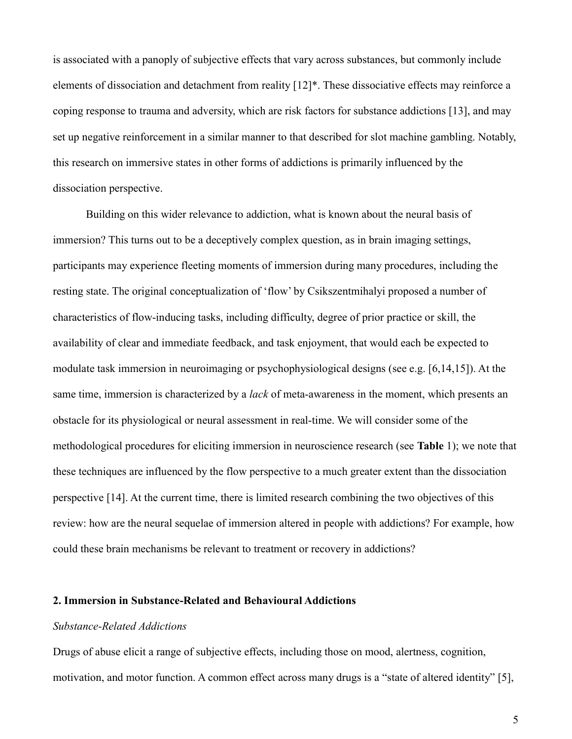is associated with a panoply of subjective effects that vary across substances, but commonly include elements of dissociation and detachment from reality [12]\*. These dissociative effects may reinforce a coping response to trauma and adversity, which are risk factors for substance addictions [13], and may set up negative reinforcement in a similar manner to that described for slot machine gambling. Notably, this research on immersive states in other forms of addictions is primarily influenced by the dissociation perspective.

Building on this wider relevance to addiction, what is known about the neural basis of immersion? This turns out to be a deceptively complex question, as in brain imaging settings, participants may experience fleeting moments of immersion during many procedures, including the resting state. The original conceptualization of 'flow' by Csikszentmihalyi proposed a number of characteristics of flow-inducing tasks, including difficulty, degree of prior practice or skill, the availability of clear and immediate feedback, and task enjoyment, that would each be expected to modulate task immersion in neuroimaging or psychophysiological designs (see e.g. [6,14,15]). At the same time, immersion is characterized by a *lack* of meta-awareness in the moment, which presents an obstacle for its physiological or neural assessment in real-time. We will consider some of the methodological procedures for eliciting immersion in neuroscience research (see Table 1); we note that these techniques are influenced by the flow perspective to a much greater extent than the dissociation perspective [14]. At the current time, there is limited research combining the two objectives of this review: how are the neural sequelae of immersion altered in people with addictions? For example, how could these brain mechanisms be relevant to treatment or recovery in addictions?

# 2. Immersion in Substance-Related and Behavioural Addictions

## Substance-Related Addictions

Drugs of abuse elicit a range of subjective effects, including those on mood, alertness, cognition, motivation, and motor function. A common effect across many drugs is a "state of altered identity" [5],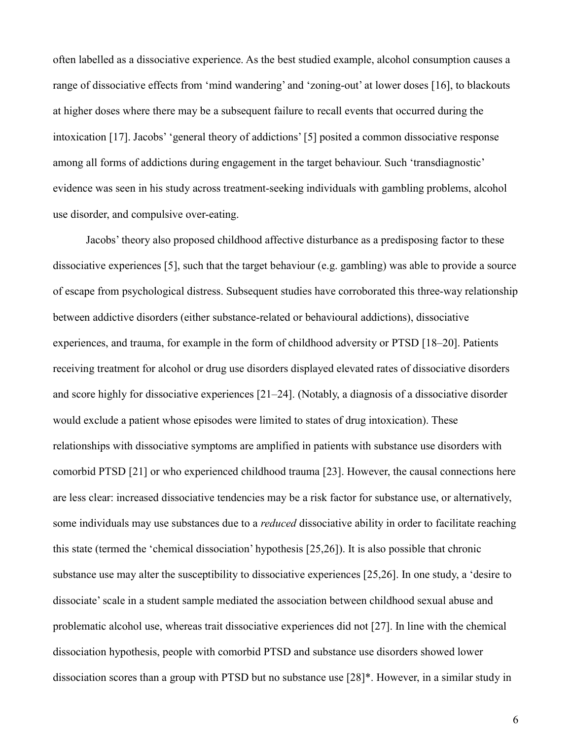often labelled as a dissociative experience. As the best studied example, alcohol consumption causes a range of dissociative effects from 'mind wandering' and 'zoning-out' at lower doses [16], to blackouts at higher doses where there may be a subsequent failure to recall events that occurred during the intoxication [17]. Jacobs' 'general theory of addictions' [5] posited a common dissociative response among all forms of addictions during engagement in the target behaviour. Such 'transdiagnostic' evidence was seen in his study across treatment-seeking individuals with gambling problems, alcohol use disorder, and compulsive over-eating.

Jacobs' theory also proposed childhood affective disturbance as a predisposing factor to these dissociative experiences [5], such that the target behaviour (e.g. gambling) was able to provide a source of escape from psychological distress. Subsequent studies have corroborated this three-way relationship between addictive disorders (either substance-related or behavioural addictions), dissociative experiences, and trauma, for example in the form of childhood adversity or PTSD [18–20]. Patients receiving treatment for alcohol or drug use disorders displayed elevated rates of dissociative disorders and score highly for dissociative experiences [21–24]. (Notably, a diagnosis of a dissociative disorder would exclude a patient whose episodes were limited to states of drug intoxication). These relationships with dissociative symptoms are amplified in patients with substance use disorders with comorbid PTSD [21] or who experienced childhood trauma [23]. However, the causal connections here are less clear: increased dissociative tendencies may be a risk factor for substance use, or alternatively, some individuals may use substances due to a *reduced* dissociative ability in order to facilitate reaching this state (termed the 'chemical dissociation' hypothesis [25,26]). It is also possible that chronic substance use may alter the susceptibility to dissociative experiences [25,26]. In one study, a 'desire to dissociate' scale in a student sample mediated the association between childhood sexual abuse and problematic alcohol use, whereas trait dissociative experiences did not [27]. In line with the chemical dissociation hypothesis, people with comorbid PTSD and substance use disorders showed lower dissociation scores than a group with PTSD but no substance use [28]\*. However, in a similar study in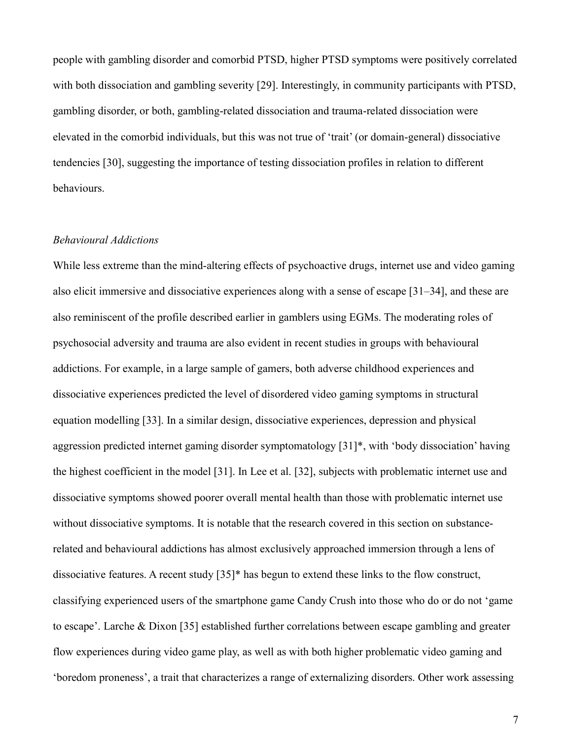people with gambling disorder and comorbid PTSD, higher PTSD symptoms were positively correlated with both dissociation and gambling severity [29]. Interestingly, in community participants with PTSD, gambling disorder, or both, gambling-related dissociation and trauma-related dissociation were elevated in the comorbid individuals, but this was not true of 'trait' (or domain-general) dissociative tendencies [30], suggesting the importance of testing dissociation profiles in relation to different behaviours.

#### Behavioural Addictions

While less extreme than the mind-altering effects of psychoactive drugs, internet use and video gaming also elicit immersive and dissociative experiences along with a sense of escape [31–34], and these are also reminiscent of the profile described earlier in gamblers using EGMs. The moderating roles of psychosocial adversity and trauma are also evident in recent studies in groups with behavioural addictions. For example, in a large sample of gamers, both adverse childhood experiences and dissociative experiences predicted the level of disordered video gaming symptoms in structural equation modelling [33]. In a similar design, dissociative experiences, depression and physical aggression predicted internet gaming disorder symptomatology [31]\*, with 'body dissociation' having the highest coefficient in the model [31]. In Lee et al. [32], subjects with problematic internet use and dissociative symptoms showed poorer overall mental health than those with problematic internet use without dissociative symptoms. It is notable that the research covered in this section on substancerelated and behavioural addictions has almost exclusively approached immersion through a lens of dissociative features. A recent study [35]\* has begun to extend these links to the flow construct, classifying experienced users of the smartphone game Candy Crush into those who do or do not 'game to escape'. Larche & Dixon [35] established further correlations between escape gambling and greater flow experiences during video game play, as well as with both higher problematic video gaming and 'boredom proneness', a trait that characterizes a range of externalizing disorders. Other work assessing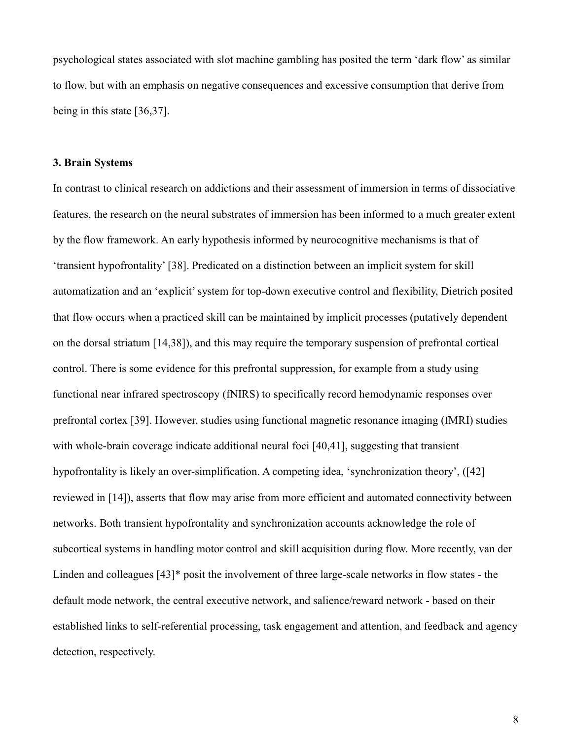psychological states associated with slot machine gambling has posited the term 'dark flow' as similar to flow, but with an emphasis on negative consequences and excessive consumption that derive from being in this state [36,37].

#### 3. Brain Systems

In contrast to clinical research on addictions and their assessment of immersion in terms of dissociative features, the research on the neural substrates of immersion has been informed to a much greater extent by the flow framework. An early hypothesis informed by neurocognitive mechanisms is that of 'transient hypofrontality' [38]. Predicated on a distinction between an implicit system for skill automatization and an 'explicit' system for top-down executive control and flexibility, Dietrich posited that flow occurs when a practiced skill can be maintained by implicit processes (putatively dependent on the dorsal striatum [14,38]), and this may require the temporary suspension of prefrontal cortical control. There is some evidence for this prefrontal suppression, for example from a study using functional near infrared spectroscopy (fNIRS) to specifically record hemodynamic responses over prefrontal cortex [39]. However, studies using functional magnetic resonance imaging (fMRI) studies with whole-brain coverage indicate additional neural foci [40,41], suggesting that transient hypofrontality is likely an over-simplification. A competing idea, 'synchronization theory', ([42] reviewed in [14]), asserts that flow may arise from more efficient and automated connectivity between networks. Both transient hypofrontality and synchronization accounts acknowledge the role of subcortical systems in handling motor control and skill acquisition during flow. More recently, van der Linden and colleagues [43]\* posit the involvement of three large-scale networks in flow states - the default mode network, the central executive network, and salience/reward network - based on their established links to self-referential processing, task engagement and attention, and feedback and agency detection, respectively.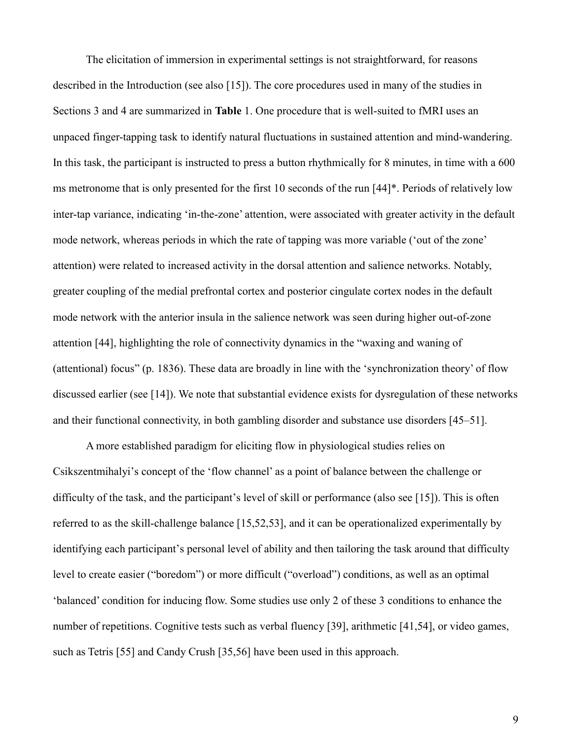The elicitation of immersion in experimental settings is not straightforward, for reasons described in the Introduction (see also [15]). The core procedures used in many of the studies in Sections 3 and 4 are summarized in Table 1. One procedure that is well-suited to fMRI uses an unpaced finger-tapping task to identify natural fluctuations in sustained attention and mind-wandering. In this task, the participant is instructed to press a button rhythmically for 8 minutes, in time with a 600 ms metronome that is only presented for the first 10 seconds of the run [44]\*. Periods of relatively low inter-tap variance, indicating 'in-the-zone' attention, were associated with greater activity in the default mode network, whereas periods in which the rate of tapping was more variable ('out of the zone' attention) were related to increased activity in the dorsal attention and salience networks. Notably, greater coupling of the medial prefrontal cortex and posterior cingulate cortex nodes in the default mode network with the anterior insula in the salience network was seen during higher out-of-zone attention [44], highlighting the role of connectivity dynamics in the "waxing and waning of (attentional) focus" (p. 1836). These data are broadly in line with the 'synchronization theory' of flow discussed earlier (see [14]). We note that substantial evidence exists for dysregulation of these networks and their functional connectivity, in both gambling disorder and substance use disorders [45–51].

A more established paradigm for eliciting flow in physiological studies relies on Csikszentmihalyi's concept of the 'flow channel' as a point of balance between the challenge or difficulty of the task, and the participant's level of skill or performance (also see [15]). This is often referred to as the skill-challenge balance [15,52,53], and it can be operationalized experimentally by identifying each participant's personal level of ability and then tailoring the task around that difficulty level to create easier ("boredom") or more difficult ("overload") conditions, as well as an optimal 'balanced' condition for inducing flow. Some studies use only 2 of these 3 conditions to enhance the number of repetitions. Cognitive tests such as verbal fluency [39], arithmetic [41,54], or video games, such as Tetris [55] and Candy Crush [35,56] have been used in this approach.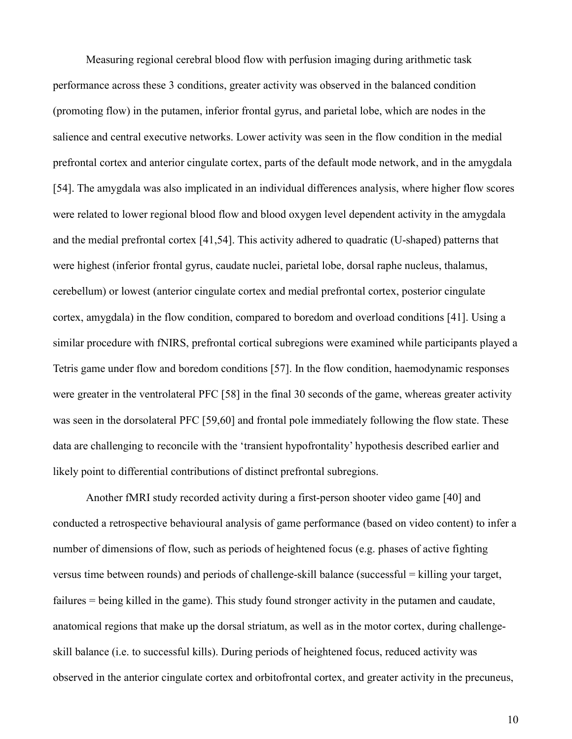Measuring regional cerebral blood flow with perfusion imaging during arithmetic task performance across these 3 conditions, greater activity was observed in the balanced condition (promoting flow) in the putamen, inferior frontal gyrus, and parietal lobe, which are nodes in the salience and central executive networks. Lower activity was seen in the flow condition in the medial prefrontal cortex and anterior cingulate cortex, parts of the default mode network, and in the amygdala [54]. The amygdala was also implicated in an individual differences analysis, where higher flow scores were related to lower regional blood flow and blood oxygen level dependent activity in the amygdala and the medial prefrontal cortex [41,54]. This activity adhered to quadratic (U-shaped) patterns that were highest (inferior frontal gyrus, caudate nuclei, parietal lobe, dorsal raphe nucleus, thalamus, cerebellum) or lowest (anterior cingulate cortex and medial prefrontal cortex, posterior cingulate cortex, amygdala) in the flow condition, compared to boredom and overload conditions [41]. Using a similar procedure with fNIRS, prefrontal cortical subregions were examined while participants played a Tetris game under flow and boredom conditions [57]. In the flow condition, haemodynamic responses were greater in the ventrolateral PFC [58] in the final 30 seconds of the game, whereas greater activity was seen in the dorsolateral PFC [59,60] and frontal pole immediately following the flow state. These data are challenging to reconcile with the 'transient hypofrontality' hypothesis described earlier and likely point to differential contributions of distinct prefrontal subregions.

Another fMRI study recorded activity during a first-person shooter video game [40] and conducted a retrospective behavioural analysis of game performance (based on video content) to infer a number of dimensions of flow, such as periods of heightened focus (e.g. phases of active fighting versus time between rounds) and periods of challenge-skill balance (successful = killing your target, failures = being killed in the game). This study found stronger activity in the putamen and caudate, anatomical regions that make up the dorsal striatum, as well as in the motor cortex, during challengeskill balance (i.e. to successful kills). During periods of heightened focus, reduced activity was observed in the anterior cingulate cortex and orbitofrontal cortex, and greater activity in the precuneus,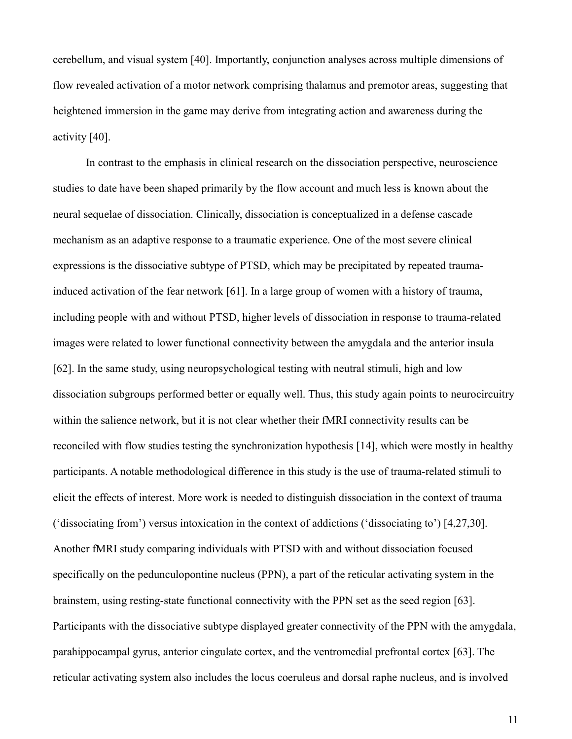cerebellum, and visual system [40]. Importantly, conjunction analyses across multiple dimensions of flow revealed activation of a motor network comprising thalamus and premotor areas, suggesting that heightened immersion in the game may derive from integrating action and awareness during the activity [40].

In contrast to the emphasis in clinical research on the dissociation perspective, neuroscience studies to date have been shaped primarily by the flow account and much less is known about the neural sequelae of dissociation. Clinically, dissociation is conceptualized in a defense cascade mechanism as an adaptive response to a traumatic experience. One of the most severe clinical expressions is the dissociative subtype of PTSD, which may be precipitated by repeated traumainduced activation of the fear network [61]. In a large group of women with a history of trauma, including people with and without PTSD, higher levels of dissociation in response to trauma-related images were related to lower functional connectivity between the amygdala and the anterior insula [62]. In the same study, using neuropsychological testing with neutral stimuli, high and low dissociation subgroups performed better or equally well. Thus, this study again points to neurocircuitry within the salience network, but it is not clear whether their fMRI connectivity results can be reconciled with flow studies testing the synchronization hypothesis [14], which were mostly in healthy participants. A notable methodological difference in this study is the use of trauma-related stimuli to elicit the effects of interest. More work is needed to distinguish dissociation in the context of trauma ('dissociating from') versus intoxication in the context of addictions ('dissociating to') [4,27,30]. Another fMRI study comparing individuals with PTSD with and without dissociation focused specifically on the pedunculopontine nucleus (PPN), a part of the reticular activating system in the brainstem, using resting-state functional connectivity with the PPN set as the seed region [63]. Participants with the dissociative subtype displayed greater connectivity of the PPN with the amygdala, parahippocampal gyrus, anterior cingulate cortex, and the ventromedial prefrontal cortex [63]. The reticular activating system also includes the locus coeruleus and dorsal raphe nucleus, and is involved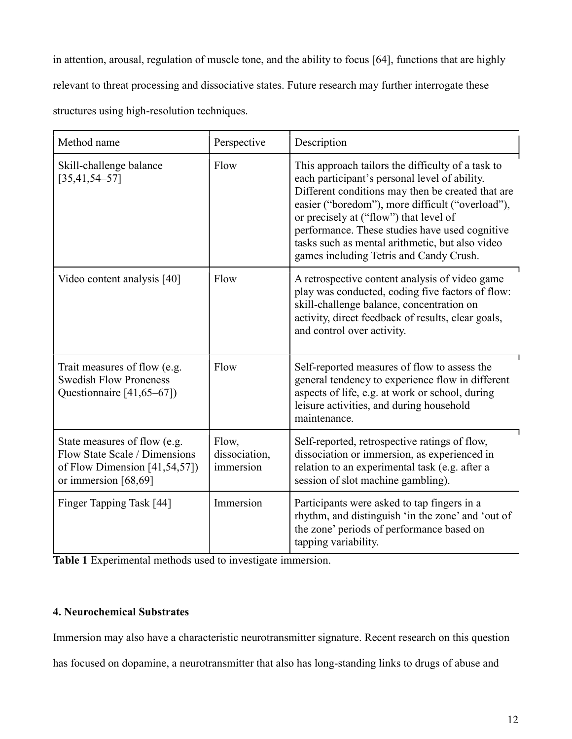in attention, arousal, regulation of muscle tone, and the ability to focus [64], functions that are highly relevant to threat processing and dissociative states. Future research may further interrogate these structures using high-resolution techniques.

| Method name                                                                                                              | Perspective                         | Description                                                                                                                                                                                                                                                                                                                                                                                           |
|--------------------------------------------------------------------------------------------------------------------------|-------------------------------------|-------------------------------------------------------------------------------------------------------------------------------------------------------------------------------------------------------------------------------------------------------------------------------------------------------------------------------------------------------------------------------------------------------|
| Skill-challenge balance<br>$[35, 41, 54 - 57]$                                                                           | Flow                                | This approach tailors the difficulty of a task to<br>each participant's personal level of ability.<br>Different conditions may then be created that are<br>easier ("boredom"), more difficult ("overload"),<br>or precisely at ("flow") that level of<br>performance. These studies have used cognitive<br>tasks such as mental arithmetic, but also video<br>games including Tetris and Candy Crush. |
| Video content analysis [40]                                                                                              | Flow                                | A retrospective content analysis of video game<br>play was conducted, coding five factors of flow:<br>skill-challenge balance, concentration on<br>activity, direct feedback of results, clear goals,<br>and control over activity.                                                                                                                                                                   |
| Trait measures of flow (e.g.<br><b>Swedish Flow Proneness</b><br>Questionnaire [41,65–67])                               | Flow                                | Self-reported measures of flow to assess the<br>general tendency to experience flow in different<br>aspects of life, e.g. at work or school, during<br>leisure activities, and during household<br>maintenance.                                                                                                                                                                                       |
| State measures of flow (e.g.<br>Flow State Scale / Dimensions<br>of Flow Dimension [41,54,57])<br>or immersion $[68,69]$ | Flow,<br>dissociation,<br>immersion | Self-reported, retrospective ratings of flow,<br>dissociation or immersion, as experienced in<br>relation to an experimental task (e.g. after a<br>session of slot machine gambling).                                                                                                                                                                                                                 |
| Finger Tapping Task [44]                                                                                                 | Immersion                           | Participants were asked to tap fingers in a<br>rhythm, and distinguish 'in the zone' and 'out of<br>the zone' periods of performance based on<br>tapping variability.                                                                                                                                                                                                                                 |

Table 1 Experimental methods used to investigate immersion.

# 4. Neurochemical Substrates

Immersion may also have a characteristic neurotransmitter signature. Recent research on this question

has focused on dopamine, a neurotransmitter that also has long-standing links to drugs of abuse and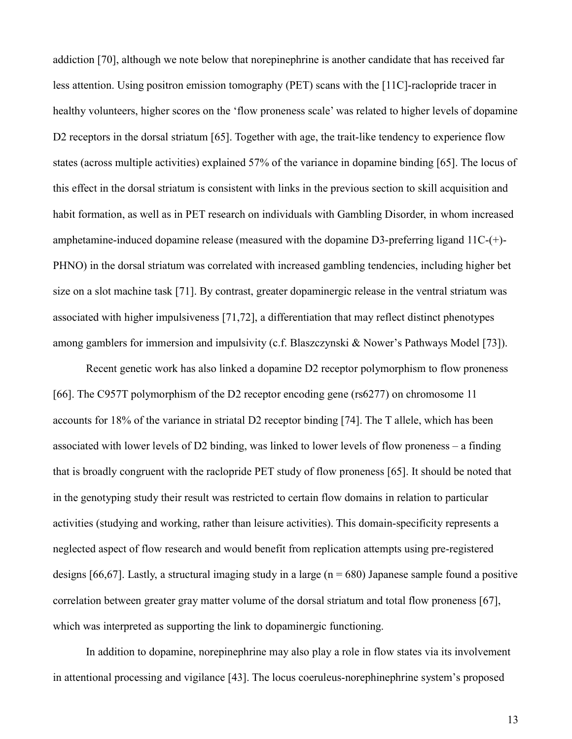addiction [70], although we note below that norepinephrine is another candidate that has received far less attention. Using positron emission tomography (PET) scans with the [11C]-raclopride tracer in healthy volunteers, higher scores on the 'flow proneness scale' was related to higher levels of dopamine D2 receptors in the dorsal striatum [65]. Together with age, the trait-like tendency to experience flow states (across multiple activities) explained 57% of the variance in dopamine binding [65]. The locus of this effect in the dorsal striatum is consistent with links in the previous section to skill acquisition and habit formation, as well as in PET research on individuals with Gambling Disorder, in whom increased amphetamine-induced dopamine release (measured with the dopamine D3-preferring ligand 11C-(+)- PHNO) in the dorsal striatum was correlated with increased gambling tendencies, including higher bet size on a slot machine task [71]. By contrast, greater dopaminergic release in the ventral striatum was associated with higher impulsiveness [71,72], a differentiation that may reflect distinct phenotypes among gamblers for immersion and impulsivity (c.f. Blaszczynski & Nower's Pathways Model [73]).

Recent genetic work has also linked a dopamine D2 receptor polymorphism to flow proneness [66]. The C957T polymorphism of the D2 receptor encoding gene (rs6277) on chromosome 11 accounts for 18% of the variance in striatal D2 receptor binding [74]. The T allele, which has been associated with lower levels of D2 binding, was linked to lower levels of flow proneness – a finding that is broadly congruent with the raclopride PET study of flow proneness [65]. It should be noted that in the genotyping study their result was restricted to certain flow domains in relation to particular activities (studying and working, rather than leisure activities). This domain-specificity represents a neglected aspect of flow research and would benefit from replication attempts using pre-registered designs [66,67]. Lastly, a structural imaging study in a large ( $n = 680$ ) Japanese sample found a positive correlation between greater gray matter volume of the dorsal striatum and total flow proneness [67], which was interpreted as supporting the link to dopaminergic functioning.

In addition to dopamine, norepinephrine may also play a role in flow states via its involvement in attentional processing and vigilance [43]. The locus coeruleus-norephinephrine system's proposed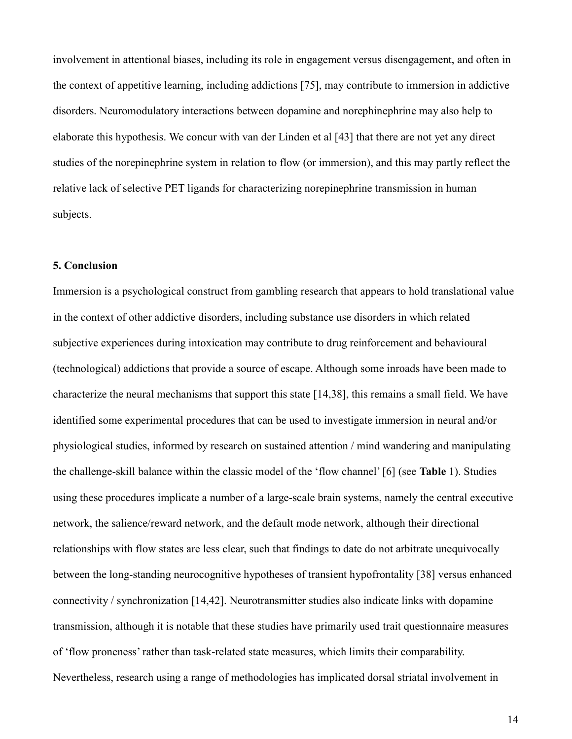involvement in attentional biases, including its role in engagement versus disengagement, and often in the context of appetitive learning, including addictions [75], may contribute to immersion in addictive disorders. Neuromodulatory interactions between dopamine and norephinephrine may also help to elaborate this hypothesis. We concur with van der Linden et al [43] that there are not yet any direct studies of the norepinephrine system in relation to flow (or immersion), and this may partly reflect the relative lack of selective PET ligands for characterizing norepinephrine transmission in human subjects.

### 5. Conclusion

Immersion is a psychological construct from gambling research that appears to hold translational value in the context of other addictive disorders, including substance use disorders in which related subjective experiences during intoxication may contribute to drug reinforcement and behavioural (technological) addictions that provide a source of escape. Although some inroads have been made to characterize the neural mechanisms that support this state [14,38], this remains a small field. We have identified some experimental procedures that can be used to investigate immersion in neural and/or physiological studies, informed by research on sustained attention / mind wandering and manipulating the challenge-skill balance within the classic model of the 'flow channel' [6] (see Table 1). Studies using these procedures implicate a number of a large-scale brain systems, namely the central executive network, the salience/reward network, and the default mode network, although their directional relationships with flow states are less clear, such that findings to date do not arbitrate unequivocally between the long-standing neurocognitive hypotheses of transient hypofrontality [38] versus enhanced connectivity / synchronization [14,42]. Neurotransmitter studies also indicate links with dopamine transmission, although it is notable that these studies have primarily used trait questionnaire measures of 'flow proneness' rather than task-related state measures, which limits their comparability. Nevertheless, research using a range of methodologies has implicated dorsal striatal involvement in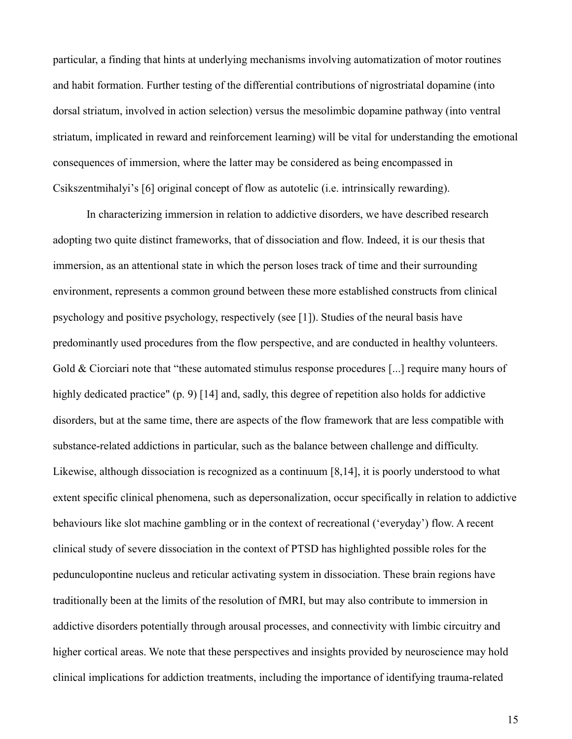particular, a finding that hints at underlying mechanisms involving automatization of motor routines and habit formation. Further testing of the differential contributions of nigrostriatal dopamine (into dorsal striatum, involved in action selection) versus the mesolimbic dopamine pathway (into ventral striatum, implicated in reward and reinforcement learning) will be vital for understanding the emotional consequences of immersion, where the latter may be considered as being encompassed in Csikszentmihalyi's [6] original concept of flow as autotelic (i.e. intrinsically rewarding).

 In characterizing immersion in relation to addictive disorders, we have described research adopting two quite distinct frameworks, that of dissociation and flow. Indeed, it is our thesis that immersion, as an attentional state in which the person loses track of time and their surrounding environment, represents a common ground between these more established constructs from clinical psychology and positive psychology, respectively (see [1]). Studies of the neural basis have predominantly used procedures from the flow perspective, and are conducted in healthy volunteers. Gold & Ciorciari note that "these automated stimulus response procedures [...] require many hours of highly dedicated practice" (p. 9) [14] and, sadly, this degree of repetition also holds for addictive disorders, but at the same time, there are aspects of the flow framework that are less compatible with substance-related addictions in particular, such as the balance between challenge and difficulty. Likewise, although dissociation is recognized as a continuum [8,14], it is poorly understood to what extent specific clinical phenomena, such as depersonalization, occur specifically in relation to addictive behaviours like slot machine gambling or in the context of recreational ('everyday') flow. A recent clinical study of severe dissociation in the context of PTSD has highlighted possible roles for the pedunculopontine nucleus and reticular activating system in dissociation. These brain regions have traditionally been at the limits of the resolution of fMRI, but may also contribute to immersion in addictive disorders potentially through arousal processes, and connectivity with limbic circuitry and higher cortical areas. We note that these perspectives and insights provided by neuroscience may hold clinical implications for addiction treatments, including the importance of identifying trauma-related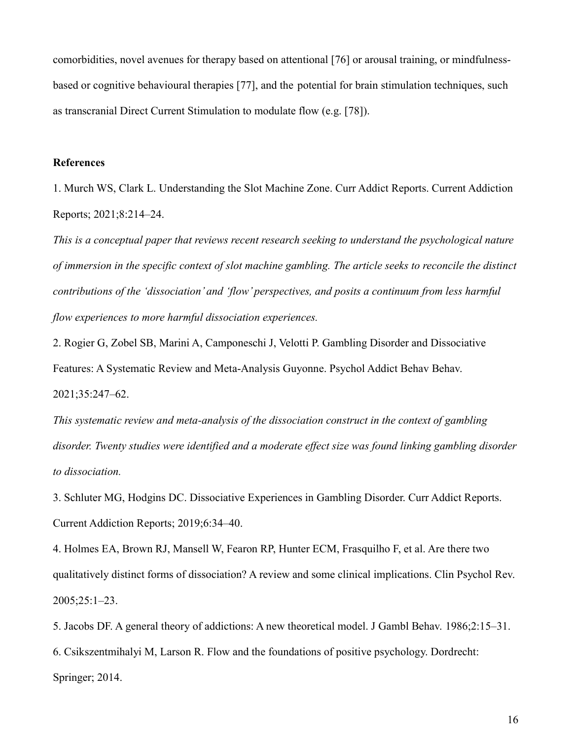comorbidities, novel avenues for therapy based on attentional [76] or arousal training, or mindfulnessbased or cognitive behavioural therapies [77], and the potential for brain stimulation techniques, such as transcranial Direct Current Stimulation to modulate flow (e.g. [78]).

# References

1. Murch WS, Clark L. Understanding the Slot Machine Zone. Curr Addict Reports. Current Addiction Reports; 2021;8:214–24.

This is a conceptual paper that reviews recent research seeking to understand the psychological nature of immersion in the specific context of slot machine gambling. The article seeks to reconcile the distinct contributions of the 'dissociation' and 'flow' perspectives, and posits a continuum from less harmful flow experiences to more harmful dissociation experiences.

2. Rogier G, Zobel SB, Marini A, Camponeschi J, Velotti P. Gambling Disorder and Dissociative Features: A Systematic Review and Meta-Analysis Guyonne. Psychol Addict Behav Behav. 2021;35:247–62.

This systematic review and meta-analysis of the dissociation construct in the context of gambling disorder. Twenty studies were identified and a moderate effect size was found linking gambling disorder to dissociation.

3. Schluter MG, Hodgins DC. Dissociative Experiences in Gambling Disorder. Curr Addict Reports. Current Addiction Reports; 2019;6:34–40.

4. Holmes EA, Brown RJ, Mansell W, Fearon RP, Hunter ECM, Frasquilho F, et al. Are there two qualitatively distinct forms of dissociation? A review and some clinical implications. Clin Psychol Rev. 2005;25:1–23.

5. Jacobs DF. A general theory of addictions: A new theoretical model. J Gambl Behav. 1986;2:15–31.

6. Csikszentmihalyi M, Larson R. Flow and the foundations of positive psychology. Dordrecht: Springer; 2014.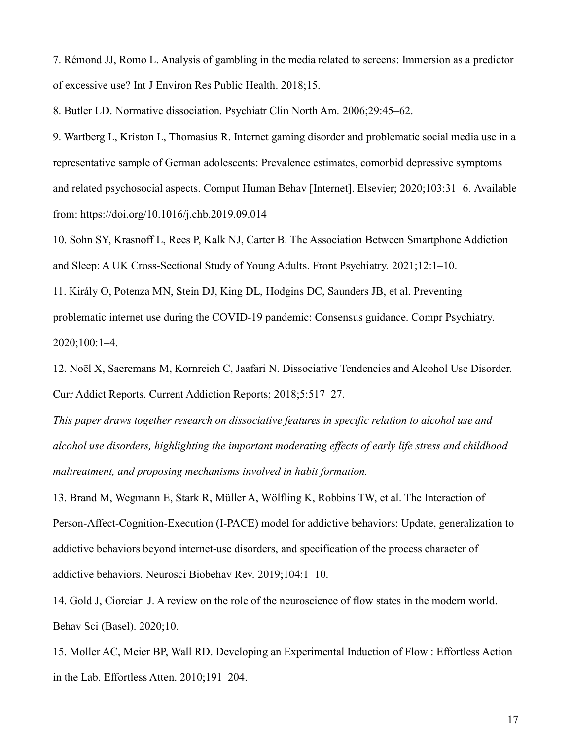7. Rémond JJ, Romo L. Analysis of gambling in the media related to screens: Immersion as a predictor of excessive use? Int J Environ Res Public Health. 2018;15.

8. Butler LD. Normative dissociation. Psychiatr Clin North Am. 2006;29:45–62.

9. Wartberg L, Kriston L, Thomasius R. Internet gaming disorder and problematic social media use in a representative sample of German adolescents: Prevalence estimates, comorbid depressive symptoms and related psychosocial aspects. Comput Human Behav [Internet]. Elsevier; 2020;103:31–6. Available from: https://doi.org/10.1016/j.chb.2019.09.014

10. Sohn SY, Krasnoff L, Rees P, Kalk NJ, Carter B. The Association Between Smartphone Addiction and Sleep: A UK Cross-Sectional Study of Young Adults. Front Psychiatry. 2021;12:1–10.

11. Király O, Potenza MN, Stein DJ, King DL, Hodgins DC, Saunders JB, et al. Preventing problematic internet use during the COVID-19 pandemic: Consensus guidance. Compr Psychiatry. 2020;100:1–4.

12. Noël X, Saeremans M, Kornreich C, Jaafari N. Dissociative Tendencies and Alcohol Use Disorder. Curr Addict Reports. Current Addiction Reports; 2018;5:517–27.

This paper draws together research on dissociative features in specific relation to alcohol use and alcohol use disorders, highlighting the important moderating effects of early life stress and childhood maltreatment, and proposing mechanisms involved in habit formation.

13. Brand M, Wegmann E, Stark R, Müller A, Wölfling K, Robbins TW, et al. The Interaction of Person-Affect-Cognition-Execution (I-PACE) model for addictive behaviors: Update, generalization to addictive behaviors beyond internet-use disorders, and specification of the process character of addictive behaviors. Neurosci Biobehav Rev. 2019;104:1–10.

14. Gold J, Ciorciari J. A review on the role of the neuroscience of flow states in the modern world. Behav Sci (Basel). 2020;10.

15. Moller AC, Meier BP, Wall RD. Developing an Experimental Induction of Flow : Effortless Action in the Lab. Effortless Atten. 2010;191–204.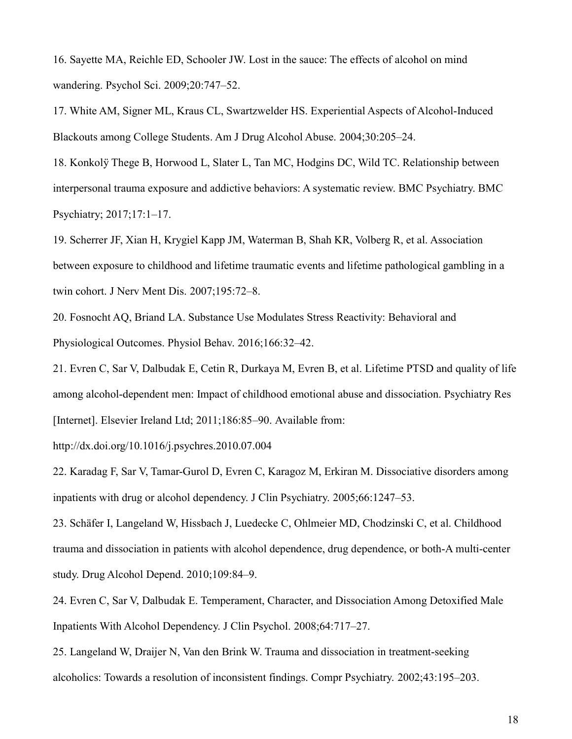16. Sayette MA, Reichle ED, Schooler JW. Lost in the sauce: The effects of alcohol on mind wandering. Psychol Sci. 2009;20:747–52.

17. White AM, Signer ML, Kraus CL, Swartzwelder HS. Experiential Aspects of Alcohol-Induced Blackouts among College Students. Am J Drug Alcohol Abuse. 2004;30:205–24.

18. Konkolÿ Thege B, Horwood L, Slater L, Tan MC, Hodgins DC, Wild TC. Relationship between interpersonal trauma exposure and addictive behaviors: A systematic review. BMC Psychiatry. BMC Psychiatry; 2017;17:1–17.

19. Scherrer JF, Xian H, Krygiel Kapp JM, Waterman B, Shah KR, Volberg R, et al. Association between exposure to childhood and lifetime traumatic events and lifetime pathological gambling in a twin cohort. J Nerv Ment Dis. 2007;195:72–8.

20. Fosnocht AQ, Briand LA. Substance Use Modulates Stress Reactivity: Behavioral and Physiological Outcomes. Physiol Behav. 2016;166:32–42.

21. Evren C, Sar V, Dalbudak E, Cetin R, Durkaya M, Evren B, et al. Lifetime PTSD and quality of life among alcohol-dependent men: Impact of childhood emotional abuse and dissociation. Psychiatry Res [Internet]. Elsevier Ireland Ltd; 2011;186:85–90. Available from:

http://dx.doi.org/10.1016/j.psychres.2010.07.004

22. Karadag F, Sar V, Tamar-Gurol D, Evren C, Karagoz M, Erkiran M. Dissociative disorders among inpatients with drug or alcohol dependency. J Clin Psychiatry. 2005;66:1247–53.

23. Schäfer I, Langeland W, Hissbach J, Luedecke C, Ohlmeier MD, Chodzinski C, et al. Childhood trauma and dissociation in patients with alcohol dependence, drug dependence, or both-A multi-center study. Drug Alcohol Depend. 2010;109:84–9.

24. Evren C, Sar V, Dalbudak E. Temperament, Character, and Dissociation Among Detoxified Male Inpatients With Alcohol Dependency. J Clin Psychol. 2008;64:717–27.

25. Langeland W, Draijer N, Van den Brink W. Trauma and dissociation in treatment-seeking alcoholics: Towards a resolution of inconsistent findings. Compr Psychiatry. 2002;43:195–203.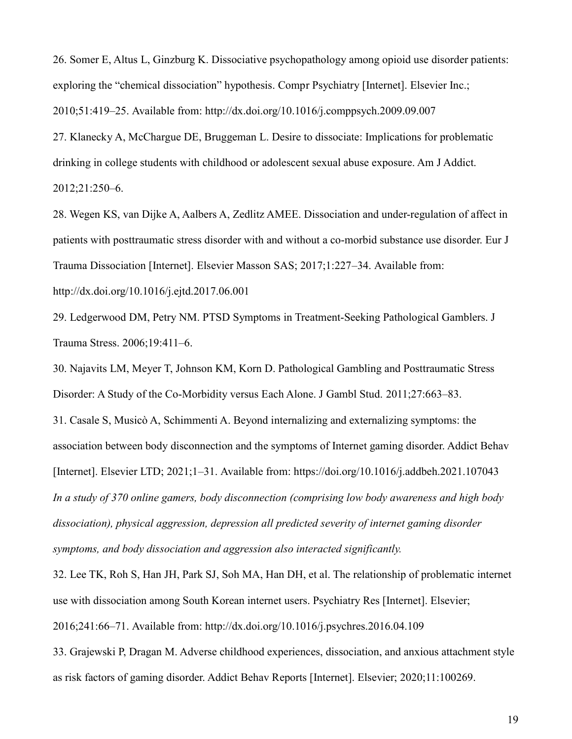26. Somer E, Altus L, Ginzburg K. Dissociative psychopathology among opioid use disorder patients: exploring the "chemical dissociation" hypothesis. Compr Psychiatry [Internet]. Elsevier Inc.; 2010;51:419–25. Available from: http://dx.doi.org/10.1016/j.comppsych.2009.09.007

27. Klanecky A, McChargue DE, Bruggeman L. Desire to dissociate: Implications for problematic drinking in college students with childhood or adolescent sexual abuse exposure. Am J Addict. 2012;21:250–6.

28. Wegen KS, van Dijke A, Aalbers A, Zedlitz AMEE. Dissociation and under-regulation of affect in patients with posttraumatic stress disorder with and without a co-morbid substance use disorder. Eur J Trauma Dissociation [Internet]. Elsevier Masson SAS; 2017;1:227–34. Available from:

http://dx.doi.org/10.1016/j.ejtd.2017.06.001

29. Ledgerwood DM, Petry NM. PTSD Symptoms in Treatment-Seeking Pathological Gamblers. J Trauma Stress. 2006;19:411–6.

30. Najavits LM, Meyer T, Johnson KM, Korn D. Pathological Gambling and Posttraumatic Stress Disorder: A Study of the Co-Morbidity versus Each Alone. J Gambl Stud. 2011;27:663–83.

31. Casale S, Musicò A, Schimmenti A. Beyond internalizing and externalizing symptoms: the association between body disconnection and the symptoms of Internet gaming disorder. Addict Behav [Internet]. Elsevier LTD; 2021;1–31. Available from: https://doi.org/10.1016/j.addbeh.2021.107043 In a study of 370 online gamers, body disconnection (comprising low body awareness and high body dissociation), physical aggression, depression all predicted severity of internet gaming disorder symptoms, and body dissociation and aggression also interacted significantly.

32. Lee TK, Roh S, Han JH, Park SJ, Soh MA, Han DH, et al. The relationship of problematic internet use with dissociation among South Korean internet users. Psychiatry Res [Internet]. Elsevier; 2016;241:66–71. Available from: http://dx.doi.org/10.1016/j.psychres.2016.04.109

33. Grajewski P, Dragan M. Adverse childhood experiences, dissociation, and anxious attachment style as risk factors of gaming disorder. Addict Behav Reports [Internet]. Elsevier; 2020;11:100269.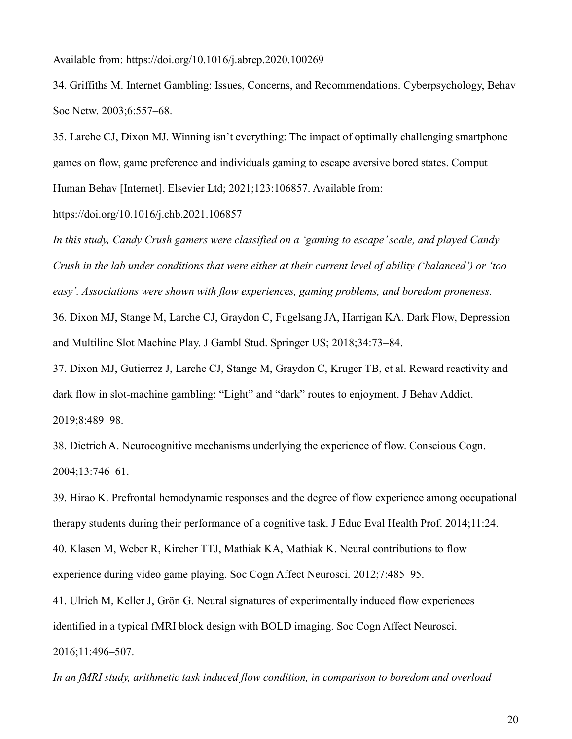Available from: https://doi.org/10.1016/j.abrep.2020.100269

34. Griffiths M. Internet Gambling: Issues, Concerns, and Recommendations. Cyberpsychology, Behav Soc Netw. 2003;6:557–68.

35. Larche CJ, Dixon MJ. Winning isn't everything: The impact of optimally challenging smartphone games on flow, game preference and individuals gaming to escape aversive bored states. Comput Human Behav [Internet]. Elsevier Ltd; 2021;123:106857. Available from:

https://doi.org/10.1016/j.chb.2021.106857

In this study, Candy Crush gamers were classified on a 'gaming to escape' scale, and played Candy Crush in the lab under conditions that were either at their current level of ability ('balanced') or 'too easy'. Associations were shown with flow experiences, gaming problems, and boredom proneness. 36. Dixon MJ, Stange M, Larche CJ, Graydon C, Fugelsang JA, Harrigan KA. Dark Flow, Depression and Multiline Slot Machine Play. J Gambl Stud. Springer US; 2018;34:73–84.

37. Dixon MJ, Gutierrez J, Larche CJ, Stange M, Graydon C, Kruger TB, et al. Reward reactivity and dark flow in slot-machine gambling: "Light" and "dark" routes to enjoyment. J Behav Addict. 2019;8:489–98.

38. Dietrich A. Neurocognitive mechanisms underlying the experience of flow. Conscious Cogn. 2004;13:746–61.

39. Hirao K. Prefrontal hemodynamic responses and the degree of flow experience among occupational therapy students during their performance of a cognitive task. J Educ Eval Health Prof. 2014;11:24.

40. Klasen M, Weber R, Kircher TTJ, Mathiak KA, Mathiak K. Neural contributions to flow experience during video game playing. Soc Cogn Affect Neurosci. 2012;7:485–95.

41. Ulrich M, Keller J, Grön G. Neural signatures of experimentally induced flow experiences identified in a typical fMRI block design with BOLD imaging. Soc Cogn Affect Neurosci. 2016;11:496–507.

In an fMRI study, arithmetic task induced flow condition, in comparison to boredom and overload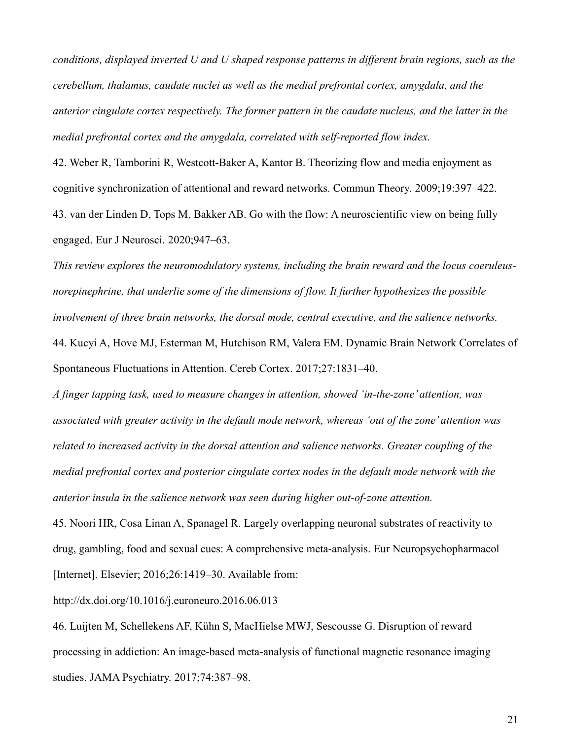conditions, displayed inverted U and U shaped response patterns in different brain regions, such as the cerebellum, thalamus, caudate nuclei as well as the medial prefrontal cortex, amygdala, and the anterior cingulate cortex respectively. The former pattern in the caudate nucleus, and the latter in the medial prefrontal cortex and the amygdala, correlated with self-reported flow index.

42. Weber R, Tamborini R, Westcott-Baker A, Kantor B. Theorizing flow and media enjoyment as cognitive synchronization of attentional and reward networks. Commun Theory. 2009;19:397–422. 43. van der Linden D, Tops M, Bakker AB. Go with the flow: A neuroscientific view on being fully engaged. Eur J Neurosci. 2020;947–63.

This review explores the neuromodulatory systems, including the brain reward and the locus coeruleusnorepinephrine, that underlie some of the dimensions of flow. It further hypothesizes the possible involvement of three brain networks, the dorsal mode, central executive, and the salience networks. 44. Kucyi A, Hove MJ, Esterman M, Hutchison RM, Valera EM. Dynamic Brain Network Correlates of Spontaneous Fluctuations in Attention. Cereb Cortex. 2017;27:1831–40.

A finger tapping task, used to measure changes in attention, showed 'in-the-zone' attention, was associated with greater activity in the default mode network, whereas 'out of the zone' attention was related to increased activity in the dorsal attention and salience networks. Greater coupling of the medial prefrontal cortex and posterior cingulate cortex nodes in the default mode network with the anterior insula in the salience network was seen during higher out-of-zone attention.

45. Noori HR, Cosa Linan A, Spanagel R. Largely overlapping neuronal substrates of reactivity to drug, gambling, food and sexual cues: A comprehensive meta-analysis. Eur Neuropsychopharmacol [Internet]. Elsevier; 2016;26:1419-30. Available from:

http://dx.doi.org/10.1016/j.euroneuro.2016.06.013

46. Luijten M, Schellekens AF, Kühn S, MacHielse MWJ, Sescousse G. Disruption of reward processing in addiction: An image-based meta-analysis of functional magnetic resonance imaging studies. JAMA Psychiatry. 2017;74:387–98.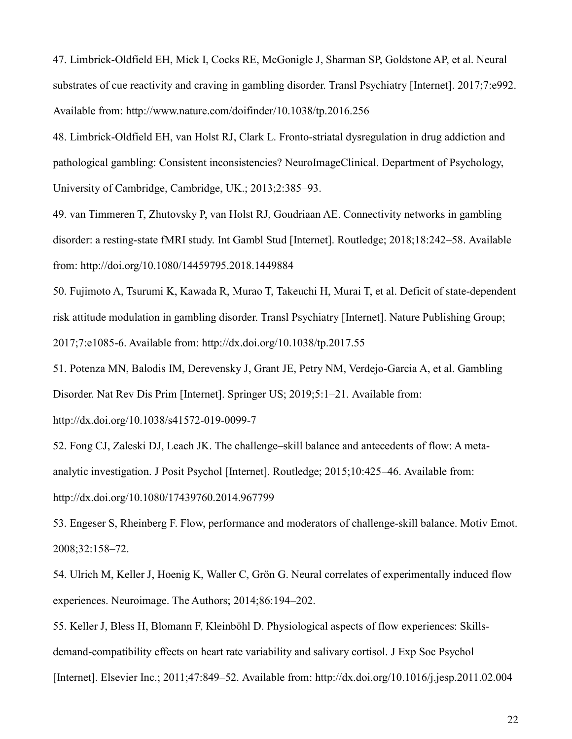47. Limbrick-Oldfield EH, Mick I, Cocks RE, McGonigle J, Sharman SP, Goldstone AP, et al. Neural substrates of cue reactivity and craving in gambling disorder. Transl Psychiatry [Internet]. 2017;7:e992. Available from: http://www.nature.com/doifinder/10.1038/tp.2016.256

48. Limbrick-Oldfield EH, van Holst RJ, Clark L. Fronto-striatal dysregulation in drug addiction and pathological gambling: Consistent inconsistencies? NeuroImageClinical. Department of Psychology, University of Cambridge, Cambridge, UK.; 2013;2:385–93.

49. van Timmeren T, Zhutovsky P, van Holst RJ, Goudriaan AE. Connectivity networks in gambling disorder: a resting-state fMRI study. Int Gambl Stud [Internet]. Routledge; 2018;18:242–58. Available from: http://doi.org/10.1080/14459795.2018.1449884

50. Fujimoto A, Tsurumi K, Kawada R, Murao T, Takeuchi H, Murai T, et al. Deficit of state-dependent risk attitude modulation in gambling disorder. Transl Psychiatry [Internet]. Nature Publishing Group; 2017;7:e1085-6. Available from: http://dx.doi.org/10.1038/tp.2017.55

51. Potenza MN, Balodis IM, Derevensky J, Grant JE, Petry NM, Verdejo-Garcia A, et al. Gambling Disorder. Nat Rev Dis Prim [Internet]. Springer US; 2019;5:1–21. Available from:

http://dx.doi.org/10.1038/s41572-019-0099-7

52. Fong CJ, Zaleski DJ, Leach JK. The challenge–skill balance and antecedents of flow: A metaanalytic investigation. J Posit Psychol [Internet]. Routledge; 2015;10:425–46. Available from: http://dx.doi.org/10.1080/17439760.2014.967799

53. Engeser S, Rheinberg F. Flow, performance and moderators of challenge-skill balance. Motiv Emot. 2008;32:158–72.

54. Ulrich M, Keller J, Hoenig K, Waller C, Grön G. Neural correlates of experimentally induced flow experiences. Neuroimage. The Authors; 2014;86:194–202.

55. Keller J, Bless H, Blomann F, Kleinböhl D. Physiological aspects of flow experiences: Skillsdemand-compatibility effects on heart rate variability and salivary cortisol. J Exp Soc Psychol [Internet]. Elsevier Inc.; 2011;47:849–52. Available from: http://dx.doi.org/10.1016/j.jesp.2011.02.004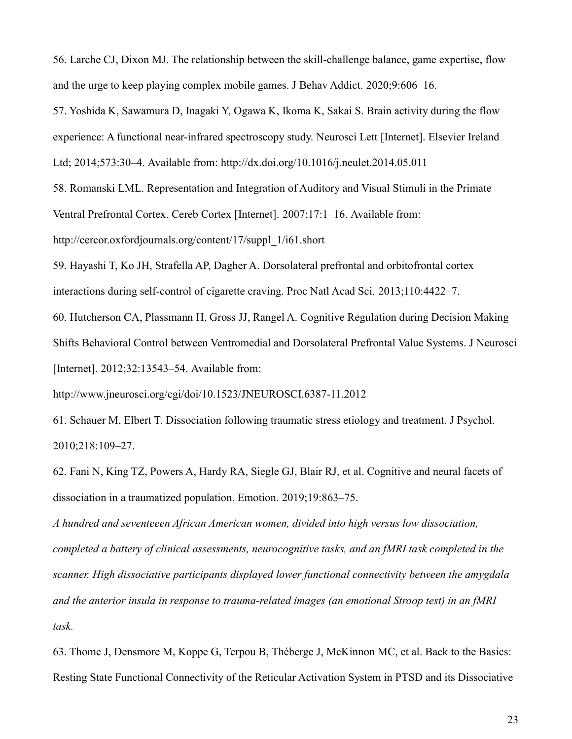56. Larche CJ, Dixon MJ. The relationship between the skill-challenge balance, game expertise, flow and the urge to keep playing complex mobile games. J Behav Addict. 2020;9:606–16.

57. Yoshida K, Sawamura D, Inagaki Y, Ogawa K, Ikoma K, Sakai S. Brain activity during the flow experience: A functional near-infrared spectroscopy study. Neurosci Lett [Internet]. Elsevier Ireland Ltd; 2014;573:30–4. Available from: http://dx.doi.org/10.1016/j.neulet.2014.05.011

58. Romanski LML. Representation and Integration of Auditory and Visual Stimuli in the Primate Ventral Prefrontal Cortex. Cereb Cortex [Internet]. 2007;17:1–16. Available from: http://cercor.oxfordjournals.org/content/17/suppl\_1/i61.short

59. Hayashi T, Ko JH, Strafella AP, Dagher A. Dorsolateral prefrontal and orbitofrontal cortex interactions during self-control of cigarette craving. Proc Natl Acad Sci. 2013;110:4422–7.

60. Hutcherson CA, Plassmann H, Gross JJ, Rangel A. Cognitive Regulation during Decision Making Shifts Behavioral Control between Ventromedial and Dorsolateral Prefrontal Value Systems. J Neurosci [Internet]. 2012;32:13543-54. Available from:

http://www.jneurosci.org/cgi/doi/10.1523/JNEUROSCI.6387-11.2012

61. Schauer M, Elbert T. Dissociation following traumatic stress etiology and treatment. J Psychol. 2010;218:109–27.

62. Fani N, King TZ, Powers A, Hardy RA, Siegle GJ, Blair RJ, et al. Cognitive and neural facets of dissociation in a traumatized population. Emotion. 2019;19:863–75.

A hundred and seventeeen African American women, divided into high versus low dissociation, completed a battery of clinical assessments, neurocognitive tasks, and an fMRI task completed in the scanner. High dissociative participants displayed lower functional connectivity between the amygdala and the anterior insula in response to trauma-related images (an emotional Stroop test) in an fMRI task.

63. Thome J, Densmore M, Koppe G, Terpou B, Théberge J, McKinnon MC, et al. Back to the Basics: Resting State Functional Connectivity of the Reticular Activation System in PTSD and its Dissociative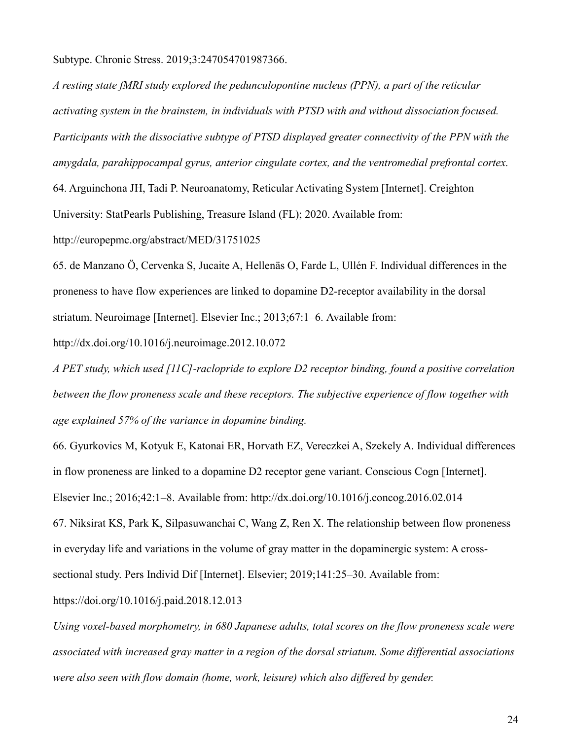Subtype. Chronic Stress. 2019;3:247054701987366.

A resting state fMRI study explored the pedunculopontine nucleus (PPN), a part of the reticular activating system in the brainstem, in individuals with PTSD with and without dissociation focused. Participants with the dissociative subtype of PTSD displayed greater connectivity of the PPN with the amygdala, parahippocampal gyrus, anterior cingulate cortex, and the ventromedial prefrontal cortex. 64. Arguinchona JH, Tadi P. Neuroanatomy, Reticular Activating System [Internet]. Creighton University: StatPearls Publishing, Treasure Island (FL); 2020. Available from:

http://europepmc.org/abstract/MED/31751025

65. de Manzano Ö, Cervenka S, Jucaite A, Hellenäs O, Farde L, Ullén F. Individual differences in the proneness to have flow experiences are linked to dopamine D2-receptor availability in the dorsal striatum. Neuroimage [Internet]. Elsevier Inc.; 2013;67:1–6. Available from:

http://dx.doi.org/10.1016/j.neuroimage.2012.10.072

A PET study, which used [11C]-raclopride to explore D2 receptor binding, found a positive correlation between the flow proneness scale and these receptors. The subjective experience of flow together with age explained 57% of the variance in dopamine binding.

66. Gyurkovics M, Kotyuk E, Katonai ER, Horvath EZ, Vereczkei A, Szekely A. Individual differences in flow proneness are linked to a dopamine D2 receptor gene variant. Conscious Cogn [Internet].

Elsevier Inc.; 2016;42:1–8. Available from: http://dx.doi.org/10.1016/j.concog.2016.02.014

67. Niksirat KS, Park K, Silpasuwanchai C, Wang Z, Ren X. The relationship between flow proneness in everyday life and variations in the volume of gray matter in the dopaminergic system: A cross-

sectional study. Pers Individ Dif [Internet]. Elsevier; 2019;141:25–30. Available from:

https://doi.org/10.1016/j.paid.2018.12.013

Using voxel-based morphometry, in 680 Japanese adults, total scores on the flow proneness scale were associated with increased gray matter in a region of the dorsal striatum. Some differential associations were also seen with flow domain (home, work, leisure) which also differed by gender.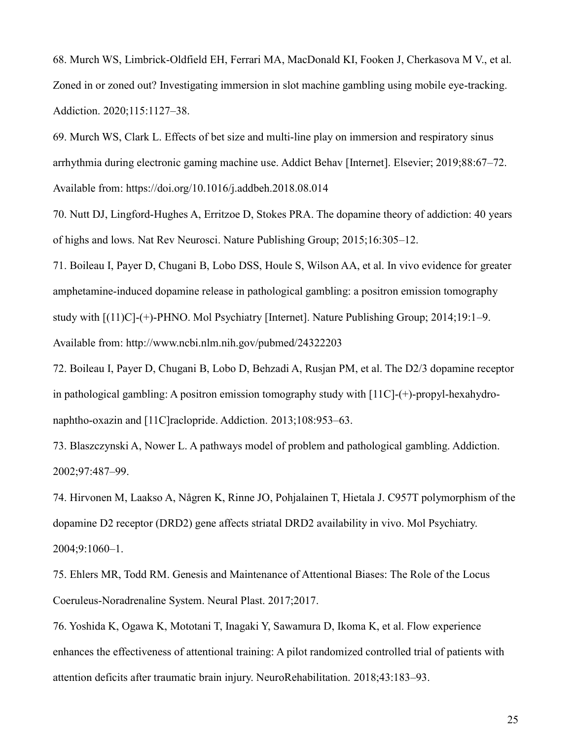68. Murch WS, Limbrick-Oldfield EH, Ferrari MA, MacDonald KI, Fooken J, Cherkasova M V., et al. Zoned in or zoned out? Investigating immersion in slot machine gambling using mobile eye-tracking. Addiction. 2020;115:1127–38.

69. Murch WS, Clark L. Effects of bet size and multi-line play on immersion and respiratory sinus arrhythmia during electronic gaming machine use. Addict Behav [Internet]. Elsevier; 2019;88:67–72. Available from: https://doi.org/10.1016/j.addbeh.2018.08.014

70. Nutt DJ, Lingford-Hughes A, Erritzoe D, Stokes PRA. The dopamine theory of addiction: 40 years of highs and lows. Nat Rev Neurosci. Nature Publishing Group; 2015;16:305–12.

71. Boileau I, Payer D, Chugani B, Lobo DSS, Houle S, Wilson AA, et al. In vivo evidence for greater amphetamine-induced dopamine release in pathological gambling: a positron emission tomography study with [(11)C]-(+)-PHNO. Mol Psychiatry [Internet]. Nature Publishing Group; 2014;19:1–9. Available from: http://www.ncbi.nlm.nih.gov/pubmed/24322203

72. Boileau I, Payer D, Chugani B, Lobo D, Behzadi A, Rusjan PM, et al. The D2/3 dopamine receptor in pathological gambling: A positron emission tomography study with [11C]-(+)-propyl-hexahydronaphtho-oxazin and [11C]raclopride. Addiction. 2013;108:953–63.

73. Blaszczynski A, Nower L. A pathways model of problem and pathological gambling. Addiction. 2002;97:487–99.

74. Hirvonen M, Laakso A, Någren K, Rinne JO, Pohjalainen T, Hietala J. C957T polymorphism of the dopamine D2 receptor (DRD2) gene affects striatal DRD2 availability in vivo. Mol Psychiatry. 2004;9:1060–1.

75. Ehlers MR, Todd RM. Genesis and Maintenance of Attentional Biases: The Role of the Locus Coeruleus-Noradrenaline System. Neural Plast. 2017;2017.

76. Yoshida K, Ogawa K, Mototani T, Inagaki Y, Sawamura D, Ikoma K, et al. Flow experience enhances the effectiveness of attentional training: A pilot randomized controlled trial of patients with attention deficits after traumatic brain injury. NeuroRehabilitation. 2018;43:183–93.